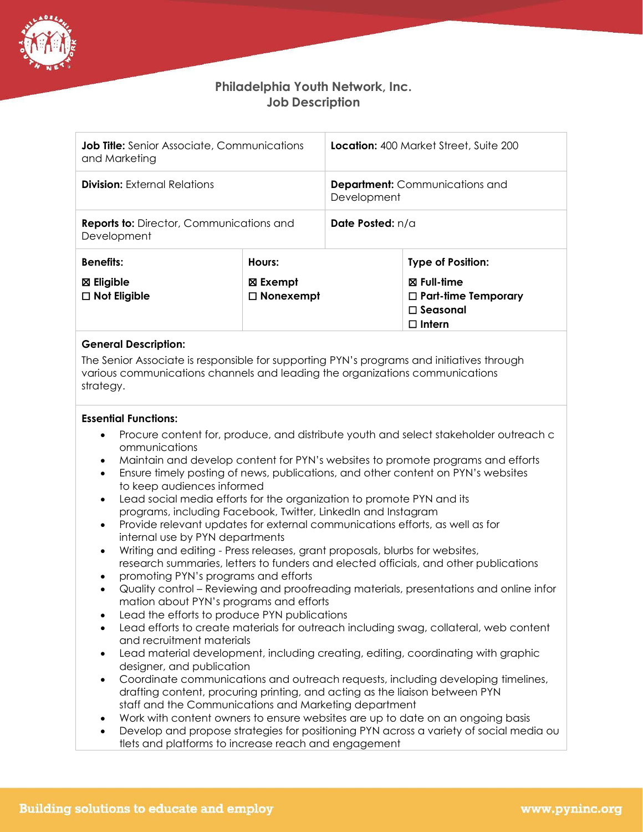

## **Philadelphia Youth Network, Inc. Job Description**

| <b>Job Title:</b> Senior Associate, Communications<br>and Marketing |                              | <b>Location:</b> 400 Market Street, Suite 200        |                                                                                            |
|---------------------------------------------------------------------|------------------------------|------------------------------------------------------|--------------------------------------------------------------------------------------------|
| <b>Division:</b> External Relations                                 |                              | <b>Department:</b> Communications and<br>Development |                                                                                            |
| <b>Reports to: Director, Communications and</b><br>Development      |                              | <b>Date Posted:</b> n/a                              |                                                                                            |
| <b>Benefits:</b>                                                    | Hours:                       |                                                      | <b>Type of Position:</b>                                                                   |
| $\boxtimes$ Eligible<br>$\Box$ Not Eligible                         | ⊠ Exempt<br>$\Box$ Nonexempt |                                                      | $\boxtimes$ Full-time<br>$\Box$ Part-time Temporary<br>$\square$ Seasonal<br>$\Box$ Intern |

## **General Description:**

The Senior Associate is responsible for supporting PYN's programs and initiatives through various communications channels and leading the organizations communications strategy.

## **Essential Functions:**

- Procure content for, produce, and distribute youth and select stakeholder outreach c ommunications
- Maintain and develop content for PYN's websites to promote programs and efforts
- Ensure timely posting of news, publications, and other content on PYN's websites to keep audiences informed
- Lead social media efforts for the organization to promote PYN and its programs, including Facebook, Twitter, LinkedIn and Instagram
- Provide relevant updates for external communications efforts, as well as for internal use by PYN departments
- Writing and editing Press releases, grant proposals, blurbs for websites, research summaries, letters to funders and elected officials, and other publications
- promoting PYN's programs and efforts
- Quality control Reviewing and proofreading materials, presentations and online infor mation about PYN's programs and efforts
- Lead the efforts to produce PYN publications
- Lead efforts to create materials for outreach including swag, collateral, web content and recruitment materials
- Lead material development, including creating, editing, coordinating with graphic designer, and publication
- Coordinate communications and outreach requests, including developing timelines, drafting content, procuring printing, and acting as the liaison between PYN staff and the Communications and Marketing department
- Work with content owners to ensure websites are up to date on an ongoing basis
- Develop and propose strategies for positioning PYN across a variety of social media ou tlets and platforms to increase reach and engagement